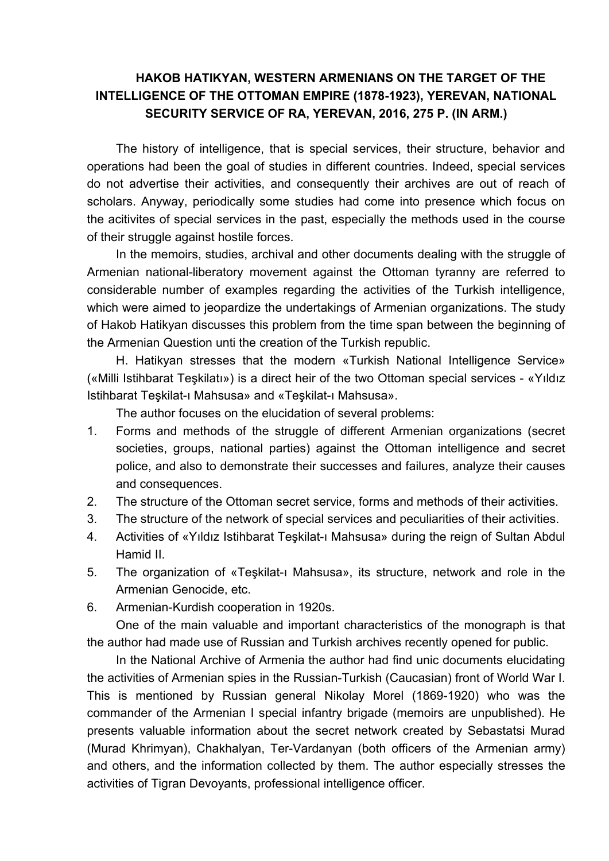## **HAKOB HATIKYAN, WESTERN ARMENIANS ON THE TARGET OF THE INTELLIGENCE OF THE OTTOMAN EMPIRE (1878-1923), YEREVAN, NATIONAL SECURITY SERVICE OF RA, YEREVAN, 2016, 275 P. (IN ARM.)**

The history of intelligence, that is special services, their structure, behavior and operations had been the goal of studies in different countries. Indeed, special services do not advertise their activities, and consequently their archives are out of reach of scholars. Anyway, periodically some studies had come into presence which focus on the acitivites of special services in the past, especially the methods used in the course of their struggle against hostile forces.

In the memoirs, studies, archival and other documents dealing with the struggle of Armenian national-liberatory movement against the Ottoman tyranny are referred to considerable number of examples regarding the activities of the Turkish intelligence, which were aimed to jeopardize the undertakings of Armenian organizations. The study of Hakob Hatikyan discusses this problem from the time span between the beginning of the Armenian Question unti the creation of the Turkish republic.

H. Hatikyan stresses that the modern «Turkish National Intelligence Service» («Milli Istihbarat Teşkilatı») is a direct heir of the two Ottoman special services - «Yıldız Istihbarat Teşkilat-ı Mahsusa» and «Teşkilat-ı Mahsusa».

The author focuses on the elucidation of several problems:

- 1. Forms and methods of the struggle of different Armenian organizations (secret societies, groups, national parties) against the Ottoman intelligence and secret police, and also to demonstrate their successes and failures, analyze their causes and consequences.
- 2. The structure of the Ottoman secret service, forms and methods of their activities.
- 3. The structure of the network of special services and peculiarities of their activities.
- 4. Activities of «Yıldız Istihbarat Teşkilat-ı Mahsusa» during the reign of Sultan Abdul Hamid II.
- 5. The organization of «Teşkilat-ı Mahsusa», its structure, network and role in the Armenian Genocide, etc.
- 6. Armenian-Kurdish cooperation in 1920s.

One of the main valuable and important characteristics of the monograph is that the author had made use of Russian and Turkish archives recently opened for public.

In the National Archive of Armenia the author had find unic documents elucidating the activities of Armenian spies in the Russian-Turkish (Caucasian) front of World War I. This is mentioned by Russian general Nikolay Morel (1869-1920) who was the commander of the Armenian I special infantry brigade (memoirs are unpublished). He presents valuable information about the secret network created by Sebastatsi Murad (Murad Khrimyan), Chakhalyan, Ter-Vardanyan (both officers of the Armenian army) and others, and the information collected by them. The author especially stresses the activities of Tigran Devoyants, professional intelligence officer.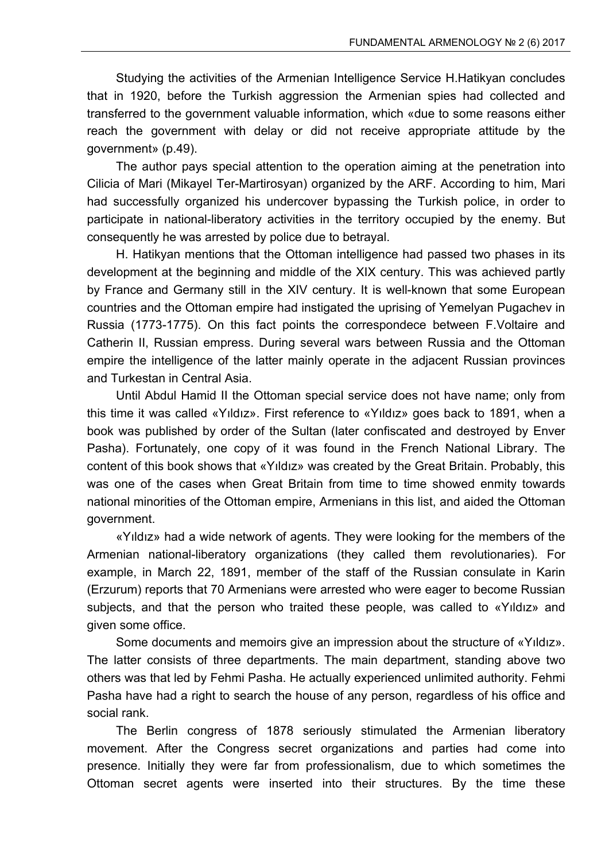Studying the activities of the Armenian Intelligence Service H.Hatikyan concludes that in 1920, before the Turkish aggression the Armenian spies had collected and transferred to the government valuable information, which «due to some reasons either reach the government with delay or did not receive appropriate attitude by the government» (p.49).

The author pays special attention to the operation aiming at the penetration into Cilicia of Mari (Mikayel Ter-Martirosyan) organized by the ARF. According to him, Mari had successfully organized his undercover bypassing the Turkish police, in order to participate in national-liberatory activities in the territory occupied by the enemy. But consequently he was arrested by police due to betrayal.

H. Hatikyan mentions that the Ottoman intelligence had passed two phases in its development at the beginning and middle of the XIX century. This was achieved partly by France and Germany still in the XIV century. It is well-known that some European countries and the Ottoman empire had instigated the uprising of Yemelyan Pugachev in Russia (1773-1775). On this fact points the correspondece between F.Voltaire and Catherin II, Russian empress. During several wars between Russia and the Ottoman empire the intelligence of the latter mainly operate in the adjacent Russian provinces and Turkestan in Central Asia.

Until Abdul Hamid II the Ottoman special service does not have name; only from this time it was called «Yıldız». First reference to «Yıldız» goes back to 1891, when a book was published by order of the Sultan (later confiscated and destroyed by Enver Pasha). Fortunately, one copy of it was found in the French National Library. The content of this book shows that «Yıldız» was created by the Great Britain. Probably, this was one of the cases when Great Britain from time to time showed enmity towards national minorities of the Ottoman empire, Armenians in this list, and aided the Ottoman government.

«Yıldız» had a wide network of agents. They were looking for the members of the Armenian national-liberatory organizations (they called them revolutionaries). For example, in March 22, 1891, member of the staff of the Russian consulate in Karin (Erzurum) reports that 70 Armenians were arrested who were eager to become Russian subjects, and that the person who traited these people, was called to «Yıldız» and given some office.

Some documents and memoirs give an impression about the structure of «Yıldız». The latter consists of three departments. The main department, standing above two others was that led by Fehmi Pasha. He actually experienced unlimited authority. Fehmi Pasha have had a right to search the house of any person, regardless of his office and social rank.

The Berlin congress of 1878 seriously stimulated the Armenian liberatory movement. After the Congress secret organizations and parties had come into presence. Initially they were far from professionalism, due to which sometimes the Ottoman secret agents were inserted into their structures. By the time these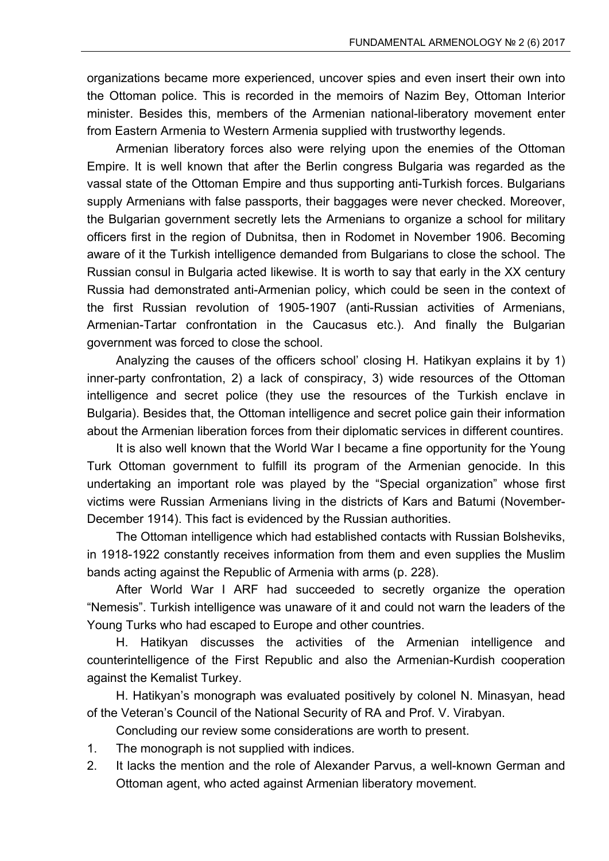organizations became more experienced, uncover spies and even insert their own into the Ottoman police. This is recorded in the memoirs of Nazim Bey, Ottoman Interior minister. Besides this, members of the Armenian national-liberatory movement enter from Eastern Armenia to Western Armenia supplied with trustworthy legends.

Armenian liberatory forces also were relying upon the enemies of the Ottoman Empire. It is well known that after the Berlin congress Bulgaria was regarded as the vassal state of the Ottoman Empire and thus supporting anti-Turkish forces. Bulgarians supply Armenians with false passports, their baggages were never checked. Moreover, the Bulgarian government secretly lets the Armenians to organize a school for military officers first in the region of Dubnitsa, then in Rodomet in November 1906. Becoming aware of it the Turkish intelligence demanded from Bulgarians to close the school. The Russian consul in Bulgaria acted likewise. It is worth to say that early in the XX century Russia had demonstrated anti-Armenian policy, which could be seen in the context of the first Russian revolution of 1905-1907 (anti-Russian activities of Armenians, Armenian-Tartar confrontation in the Caucasus etc.). And finally the Bulgarian government was forced to close the school.

Analyzing the causes of the officers school' closing H. Hatikyan explains it by 1) inner-party confrontation, 2) a lack of conspiracy, 3) wide resources of the Ottoman intelligence and secret police (they use the resources of the Turkish enclave in Bulgaria). Besides that, the Ottoman intelligence and secret police gain their information about the Armenian liberation forces from their diplomatic services in different countires.

It is also well known that the World War I became a fine opportunity for the Young Turk Ottoman government to fulfill its program of the Armenian genocide. In this undertaking an important role was played by the "Special organization" whose first victims were Russian Armenians living in the districts of Kars and Batumi (November-December 1914). This fact is evidenced by the Russian authorities.

The Ottoman intelligence which had established contacts with Russian Bolsheviks, in 1918-1922 constantly receives information from them and even supplies the Muslim bands acting against the Republic of Armenia with arms (p. 228).

After World War I ARF had succeeded to secretly organize the operation "Nemesis". Turkish intelligence was unaware of it and could not warn the leaders of the Young Turks who had escaped to Europe and other countries.

H. Hatikyan discusses the activities of the Armenian intelligence and counterintelligence of the First Republic and also the Armenian-Kurdish cooperation against the Kemalist Turkey.

H. Hatikyan's monograph was evaluated positively by colonel N. Minasyan, head of the Veteran's Council of the National Security of RA and Prof. V. Virabyan.

Concluding our review some considerations are worth to present.

- 1. The monograph is not supplied with indices.
- 2. It lacks the mention and the role of Alexander Parvus, a well-known German and Ottoman agent, who acted against Armenian liberatory movement.